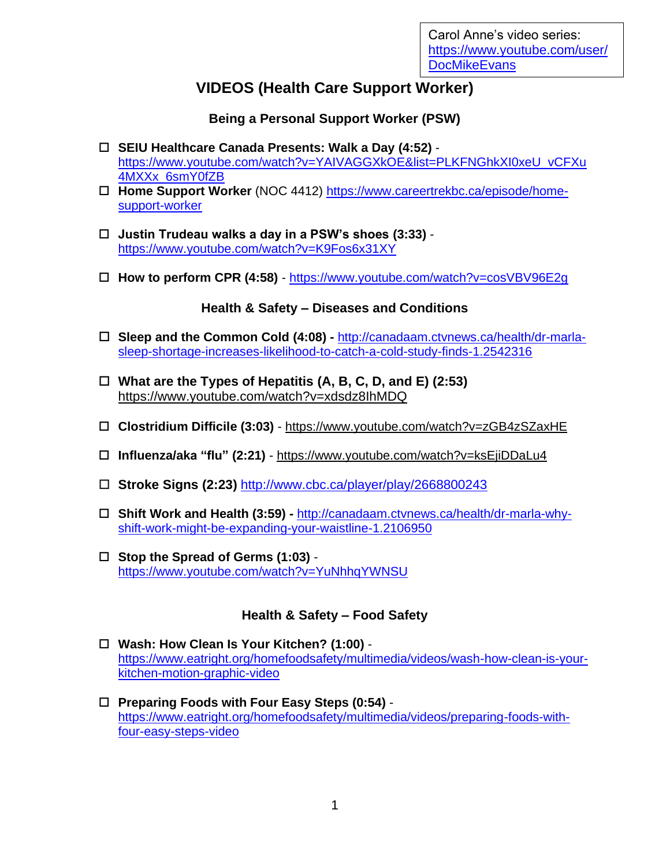# **VIDEOS (Health Care Support Worker)**

**Being a Personal Support Worker (PSW)**

- **SEIU Healthcare Canada Presents: Walk a Day (4:52)**  [https://www.youtube.com/watch?v=YAIVAGGXkOE&list=PLKFNGhkXI0xeU\\_vCFXu](https://www.youtube.com/watch?v=YAIVAGGXkOE&list=PLKFNGhkXI0xeU_vCFXu4MXXx_6smY0fZB) [4MXXx\\_6smY0fZB](https://www.youtube.com/watch?v=YAIVAGGXkOE&list=PLKFNGhkXI0xeU_vCFXu4MXXx_6smY0fZB)
- **Home Support Worker** (NOC 4412) [https://www.careertrekbc.ca/episode/home](https://www.careertrekbc.ca/episode/home-support-worker)[support-worker](https://www.careertrekbc.ca/episode/home-support-worker)
- **Justin Trudeau walks a day in a PSW's shoes (3:33)**  <https://www.youtube.com/watch?v=K9Fos6x31XY>
- **How to perform CPR (4:58)** <https://www.youtube.com/watch?v=cosVBV96E2g>

#### **Health & Safety – Diseases and Conditions**

- **Sleep and the Common Cold (4:08) -** [http://canadaam.ctvnews.ca/health/dr-marla](http://canadaam.ctvnews.ca/health/dr-marla-sleep-shortage-increases-likelihood-to-catch-a-cold-study-finds-1.2542316)[sleep-shortage-increases-likelihood-to-catch-a-cold-study-finds-1.2542316](http://canadaam.ctvnews.ca/health/dr-marla-sleep-shortage-increases-likelihood-to-catch-a-cold-study-finds-1.2542316)
- **What are the Types of Hepatitis (A, B, C, D, and E) (2:53)**  <https://www.youtube.com/watch?v=xdsdz8IhMDQ>
- **Clostridium Difficile (3:03)** <https://www.youtube.com/watch?v=zGB4zSZaxHE>
- **Influenza/aka "flu" (2:21)** <https://www.youtube.com/watch?v=ksEjiDDaLu4>
- **Stroke Signs (2:23)** <http://www.cbc.ca/player/play/2668800243>
- **Shift Work and Health (3:59) -** [http://canadaam.ctvnews.ca/health/dr-marla-why](http://canadaam.ctvnews.ca/health/dr-marla-why-shift-work-might-be-expanding-your-waistline-1.2106950)[shift-work-might-be-expanding-your-waistline-1.2106950](http://canadaam.ctvnews.ca/health/dr-marla-why-shift-work-might-be-expanding-your-waistline-1.2106950)
- **Stop the Spread of Germs (1:03)** <https://www.youtube.com/watch?v=YuNhhqYWNSU>

### **Health & Safety – Food Safety**

- **Wash: How Clean Is Your Kitchen? (1:00)** [https://www.eatright.org/homefoodsafety/multimedia/videos/wash-how-clean-is-your](https://www.eatright.org/homefoodsafety/multimedia/videos/wash-how-clean-is-your-kitchen-motion-graphic-video)[kitchen-motion-graphic-video](https://www.eatright.org/homefoodsafety/multimedia/videos/wash-how-clean-is-your-kitchen-motion-graphic-video)
- **Preparing Foods with Four Easy Steps (0:54)** [https://www.eatright.org/homefoodsafety/multimedia/videos/preparing-foods-with](https://www.eatright.org/homefoodsafety/multimedia/videos/preparing-foods-with-four-easy-steps-video)[four-easy-steps-video](https://www.eatright.org/homefoodsafety/multimedia/videos/preparing-foods-with-four-easy-steps-video)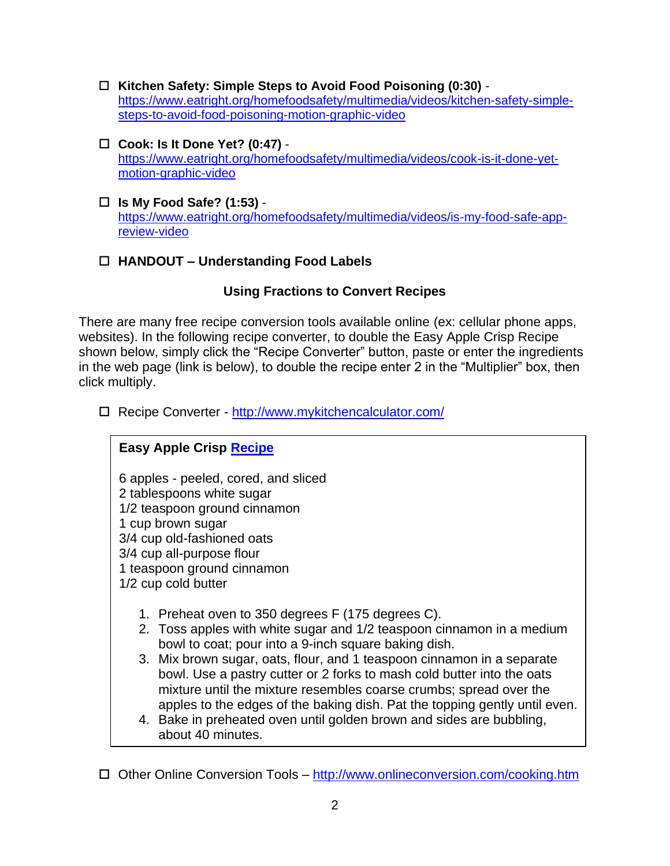- **Kitchen Safety: Simple Steps to Avoid Food Poisoning (0:30)** [https://www.eatright.org/homefoodsafety/multimedia/videos/kitchen-safety-simple](https://www.eatright.org/homefoodsafety/multimedia/videos/kitchen-safety-simple-steps-to-avoid-food-poisoning-motion-graphic-video)[steps-to-avoid-food-poisoning-motion-graphic-video](https://www.eatright.org/homefoodsafety/multimedia/videos/kitchen-safety-simple-steps-to-avoid-food-poisoning-motion-graphic-video)
- **Cook: Is It Done Yet? (0:47)** [https://www.eatright.org/homefoodsafety/multimedia/videos/cook-is-it-done-yet](https://www.eatright.org/homefoodsafety/multimedia/videos/cook-is-it-done-yet-motion-graphic-video)[motion-graphic-video](https://www.eatright.org/homefoodsafety/multimedia/videos/cook-is-it-done-yet-motion-graphic-video)
- **Is My Food Safe? (1:53)** [https://www.eatright.org/homefoodsafety/multimedia/videos/is-my-food-safe-app](https://www.eatright.org/homefoodsafety/multimedia/videos/is-my-food-safe-app-review-video)[review-video](https://www.eatright.org/homefoodsafety/multimedia/videos/is-my-food-safe-app-review-video)

# **HANDOUT – Understanding Food Labels**

### **Using Fractions to Convert Recipes**

There are many free recipe conversion tools available online (ex: cellular phone apps, websites). In the following recipe converter, to double the Easy Apple Crisp Recipe shown below, simply click the "Recipe Converter" button, paste or enter the ingredients in the web page (link is below), to double the recipe enter 2 in the "Multiplier" box, then click multiply.

Recipe Converter - <http://www.mykitchencalculator.com/>

# **Easy Apple Crisp [Recipe](https://www.allrecipes.com/recipe/229088/apple-crisp-with-oat-topping/)**

6 apples - peeled, cored, and sliced 2 tablespoons white sugar 1/2 teaspoon ground cinnamon 1 cup brown sugar 3/4 cup old-fashioned oats 3/4 cup all-purpose flour 1 teaspoon ground cinnamon 1/2 cup cold butter

- 1. Preheat oven to 350 degrees F (175 degrees C).
- 2. Toss apples with white sugar and 1/2 teaspoon cinnamon in a medium bowl to coat; pour into a 9-inch square baking dish.
- 3. Mix brown sugar, oats, flour, and 1 teaspoon cinnamon in a separate bowl. Use a pastry cutter or 2 forks to mash cold butter into the oats mixture until the mixture resembles coarse crumbs; spread over the apples to the edges of the baking dish. Pat the topping gently until even.
- 4. Bake in preheated oven until golden brown and sides are bubbling, about 40 minutes.

□ Other Online Conversion Tools – <http://www.onlineconversion.com/cooking.htm>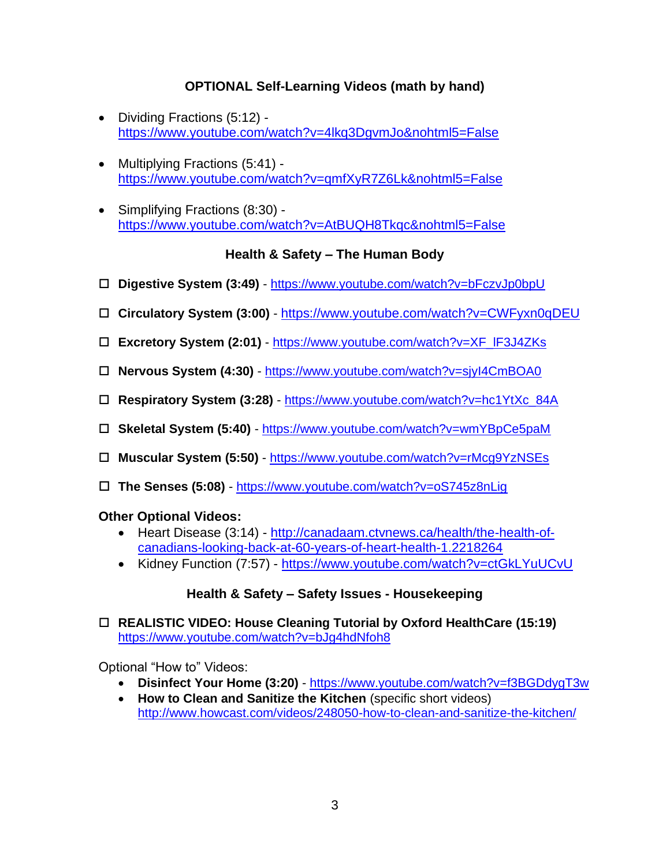# **OPTIONAL Self-Learning Videos (math by hand)**

- Dividing Fractions (5:12) <https://www.youtube.com/watch?v=4lkq3DgvmJo&nohtml5=False>
- Multiplying Fractions (5:41) <https://www.youtube.com/watch?v=qmfXyR7Z6Lk&nohtml5=False>
- Simplifying Fractions (8:30) <https://www.youtube.com/watch?v=AtBUQH8Tkqc&nohtml5=False>

### **Health & Safety – The Human Body**

- **Digestive System (3:49)** <https://www.youtube.com/watch?v=bFczvJp0bpU>
- **Circulatory System (3:00)**  <https://www.youtube.com/watch?v=CWFyxn0qDEU>
- **Excretory System (2:01)**  [https://www.youtube.com/watch?v=XF\\_lF3J4ZKs](https://www.youtube.com/watch?v=XF_lF3J4ZKs)
- **Nervous System (4:30)**  <https://www.youtube.com/watch?v=sjyI4CmBOA0>
- **Respiratory System (3:28)** [https://www.youtube.com/watch?v=hc1YtXc\\_84A](https://www.youtube.com/watch?v=hc1YtXc_84A)
- **Skeletal System (5:40)** <https://www.youtube.com/watch?v=wmYBpCe5paM>
- **Muscular System (5:50)** <https://www.youtube.com/watch?v=rMcg9YzNSEs>
- **The Senses (5:08)** <https://www.youtube.com/watch?v=oS745z8nLig>

#### **Other Optional Videos:**

- Heart Disease (3:14) [http://canadaam.ctvnews.ca/health/the-health-of](http://canadaam.ctvnews.ca/health/the-health-of-canadians-looking-back-at-60-years-of-heart-health-1.2218264)[canadians-looking-back-at-60-years-of-heart-health-1.2218264](http://canadaam.ctvnews.ca/health/the-health-of-canadians-looking-back-at-60-years-of-heart-health-1.2218264)
- Kidney Function (7:57) <https://www.youtube.com/watch?v=ctGkLYuUCvU>

### **Health & Safety – Safety Issues - Housekeeping**

 **REALISTIC VIDEO: House Cleaning Tutorial by Oxford HealthCare (15:19)** <https://www.youtube.com/watch?v=bJg4hdNfoh8>

Optional "How to" Videos:

- **Disinfect Your Home (3:20)**  <https://www.youtube.com/watch?v=f3BGDdygT3w>
- **How to Clean and Sanitize the Kitchen** (specific short videos) <http://www.howcast.com/videos/248050-how-to-clean-and-sanitize-the-kitchen/>